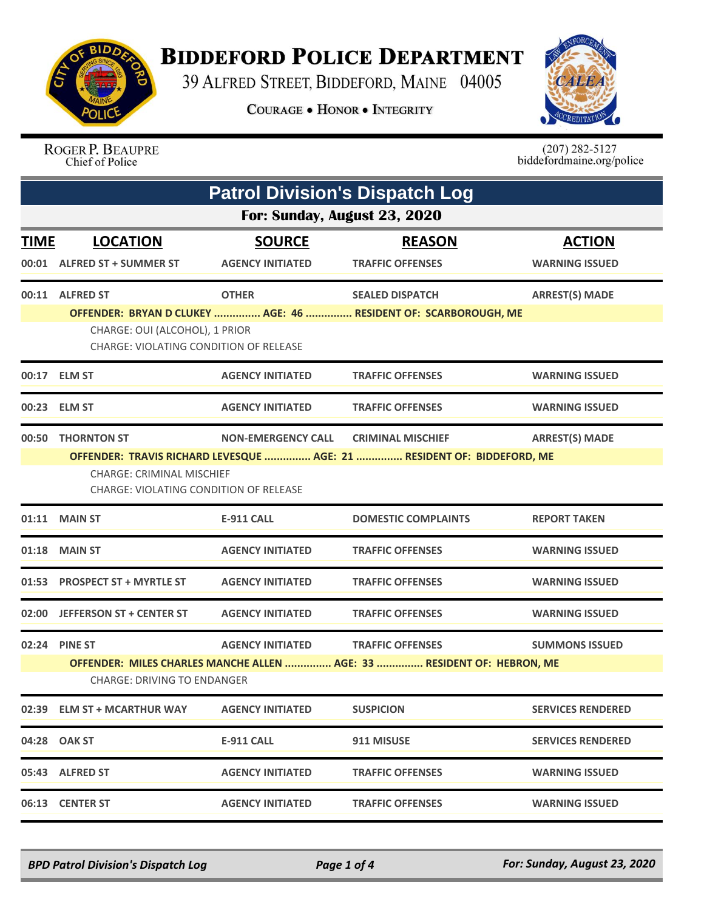

## **BIDDEFORD POLICE DEPARTMENT**

39 ALFRED STREET, BIDDEFORD, MAINE 04005

**COURAGE . HONOR . INTEGRITY** 



## ROGER P. BEAUPRE Chief of Police

 $(207)$  282-5127<br>biddefordmaine.org/police

|             | <b>Patrol Division's Dispatch Log</b>                                                                                                                |                           |                            |                          |  |  |
|-------------|------------------------------------------------------------------------------------------------------------------------------------------------------|---------------------------|----------------------------|--------------------------|--|--|
|             | For: Sunday, August 23, 2020                                                                                                                         |                           |                            |                          |  |  |
| <b>TIME</b> | <b>LOCATION</b>                                                                                                                                      | <b>SOURCE</b>             | <b>REASON</b>              | <b>ACTION</b>            |  |  |
|             | 00:01 ALFRED ST + SUMMER ST                                                                                                                          | <b>AGENCY INITIATED</b>   | <b>TRAFFIC OFFENSES</b>    | <b>WARNING ISSUED</b>    |  |  |
|             | 00:11 ALFRED ST                                                                                                                                      | <b>OTHER</b>              | <b>SEALED DISPATCH</b>     | <b>ARREST(S) MADE</b>    |  |  |
|             | OFFENDER: BRYAN D CLUKEY  AGE: 46  RESIDENT OF: SCARBOROUGH, ME<br>CHARGE: OUI (ALCOHOL), 1 PRIOR<br><b>CHARGE: VIOLATING CONDITION OF RELEASE</b>   |                           |                            |                          |  |  |
|             | 00:17 ELM ST                                                                                                                                         | <b>AGENCY INITIATED</b>   | <b>TRAFFIC OFFENSES</b>    | <b>WARNING ISSUED</b>    |  |  |
|             | 00:23 ELM ST                                                                                                                                         | <b>AGENCY INITIATED</b>   | <b>TRAFFIC OFFENSES</b>    | <b>WARNING ISSUED</b>    |  |  |
| 00:50       | <b>THORNTON ST</b>                                                                                                                                   | <b>NON-EMERGENCY CALL</b> | <b>CRIMINAL MISCHIEF</b>   | <b>ARREST(S) MADE</b>    |  |  |
|             | OFFENDER: TRAVIS RICHARD LEVESQUE  AGE: 21  RESIDENT OF: BIDDEFORD, ME<br><b>CHARGE: CRIMINAL MISCHIFF</b><br>CHARGE: VIOLATING CONDITION OF RELEASE |                           |                            |                          |  |  |
|             | 01:11 MAIN ST                                                                                                                                        | <b>E-911 CALL</b>         | <b>DOMESTIC COMPLAINTS</b> | <b>REPORT TAKEN</b>      |  |  |
| 01:18       | <b>MAIN ST</b>                                                                                                                                       | <b>AGENCY INITIATED</b>   | <b>TRAFFIC OFFENSES</b>    | <b>WARNING ISSUED</b>    |  |  |
|             | 01:53 PROSPECT ST + MYRTLE ST                                                                                                                        | <b>AGENCY INITIATED</b>   | <b>TRAFFIC OFFENSES</b>    | <b>WARNING ISSUED</b>    |  |  |
|             | 02:00 JEFFERSON ST + CENTER ST                                                                                                                       | <b>AGENCY INITIATED</b>   | <b>TRAFFIC OFFENSES</b>    | <b>WARNING ISSUED</b>    |  |  |
|             | 02:24 PINE ST                                                                                                                                        | <b>AGENCY INITIATED</b>   | <b>TRAFFIC OFFENSES</b>    | <b>SUMMONS ISSUED</b>    |  |  |
|             | OFFENDER: MILES CHARLES MANCHE ALLEN  AGE: 33  RESIDENT OF: HEBRON, ME<br><b>CHARGE: DRIVING TO ENDANGER</b>                                         |                           |                            |                          |  |  |
|             | 02:39 ELM ST + MCARTHUR WAY                                                                                                                          | <b>AGENCY INITIATED</b>   | <b>SUSPICION</b>           | <b>SERVICES RENDERED</b> |  |  |
|             | 04:28 OAK ST                                                                                                                                         | <b>E-911 CALL</b>         | 911 MISUSE                 | <b>SERVICES RENDERED</b> |  |  |
|             | 05:43 ALFRED ST                                                                                                                                      | <b>AGENCY INITIATED</b>   | <b>TRAFFIC OFFENSES</b>    | <b>WARNING ISSUED</b>    |  |  |
|             | 06:13 CENTER ST                                                                                                                                      | <b>AGENCY INITIATED</b>   | <b>TRAFFIC OFFENSES</b>    | <b>WARNING ISSUED</b>    |  |  |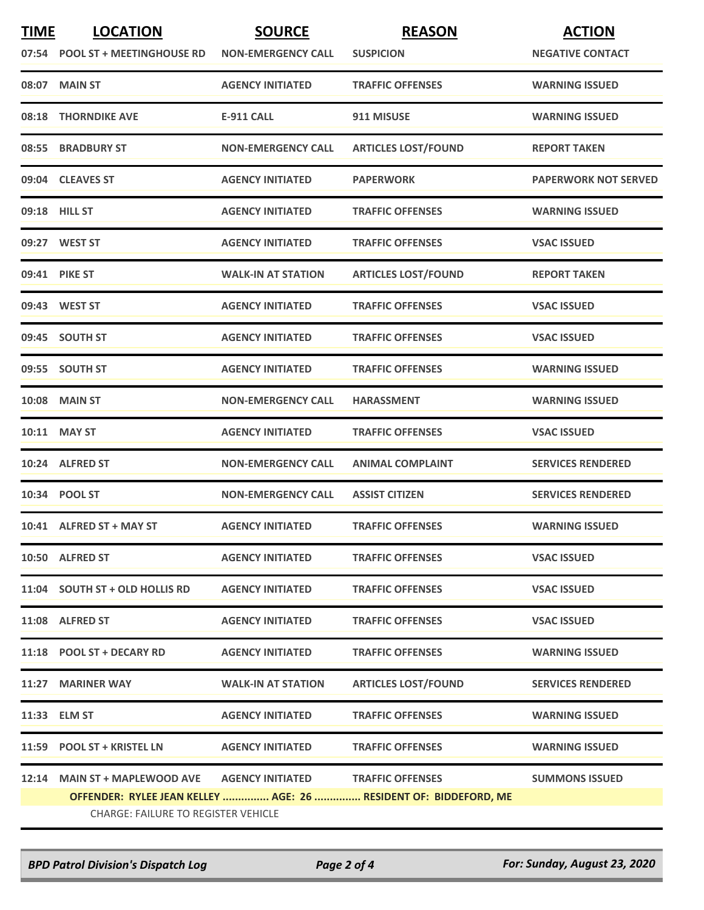| <b>TIME</b> | <b>LOCATION</b>                     | <b>SOURCE</b>             | <b>REASON</b>                                                    | <b>ACTION</b>               |
|-------------|-------------------------------------|---------------------------|------------------------------------------------------------------|-----------------------------|
|             | 07:54 POOL ST + MEETINGHOUSE RD     | <b>NON-EMERGENCY CALL</b> | <b>SUSPICION</b>                                                 | <b>NEGATIVE CONTACT</b>     |
|             | 08:07 MAIN ST                       | <b>AGENCY INITIATED</b>   | <b>TRAFFIC OFFENSES</b>                                          | <b>WARNING ISSUED</b>       |
| 08:18       | <b>THORNDIKE AVE</b>                | <b>E-911 CALL</b>         | 911 MISUSE                                                       | <b>WARNING ISSUED</b>       |
|             | 08:55 BRADBURY ST                   | <b>NON-EMERGENCY CALL</b> | <b>ARTICLES LOST/FOUND</b>                                       | <b>REPORT TAKEN</b>         |
|             | 09:04 CLEAVES ST                    | <b>AGENCY INITIATED</b>   | <b>PAPERWORK</b>                                                 | <b>PAPERWORK NOT SERVED</b> |
|             | 09:18 HILL ST                       | <b>AGENCY INITIATED</b>   | <b>TRAFFIC OFFENSES</b>                                          | <b>WARNING ISSUED</b>       |
|             | 09:27 WEST ST                       | <b>AGENCY INITIATED</b>   | <b>TRAFFIC OFFENSES</b>                                          | <b>VSAC ISSUED</b>          |
|             | 09:41 PIKE ST                       | <b>WALK-IN AT STATION</b> | <b>ARTICLES LOST/FOUND</b>                                       | <b>REPORT TAKEN</b>         |
|             | 09:43 WEST ST                       | <b>AGENCY INITIATED</b>   | <b>TRAFFIC OFFENSES</b>                                          | <b>VSAC ISSUED</b>          |
|             | 09:45 SOUTH ST                      | <b>AGENCY INITIATED</b>   | <b>TRAFFIC OFFENSES</b>                                          | <b>VSAC ISSUED</b>          |
|             | 09:55 SOUTH ST                      | <b>AGENCY INITIATED</b>   | <b>TRAFFIC OFFENSES</b>                                          | <b>WARNING ISSUED</b>       |
|             | <b>10:08 MAIN ST</b>                | <b>NON-EMERGENCY CALL</b> | <b>HARASSMENT</b>                                                | <b>WARNING ISSUED</b>       |
|             | 10:11 MAY ST                        | <b>AGENCY INITIATED</b>   | <b>TRAFFIC OFFENSES</b>                                          | <b>VSAC ISSUED</b>          |
|             | 10:24 ALFRED ST                     | <b>NON-EMERGENCY CALL</b> | <b>ANIMAL COMPLAINT</b>                                          | <b>SERVICES RENDERED</b>    |
|             | 10:34 POOL ST                       | <b>NON-EMERGENCY CALL</b> | <b>ASSIST CITIZEN</b>                                            | <b>SERVICES RENDERED</b>    |
|             | 10:41 ALFRED ST + MAY ST            | <b>AGENCY INITIATED</b>   | <b>TRAFFIC OFFENSES</b>                                          | <b>WARNING ISSUED</b>       |
|             | 10:50 ALFRED ST                     | <b>AGENCY INITIATED</b>   | <b>TRAFFIC OFFENSES</b>                                          | <b>VSAC ISSUED</b>          |
|             | 11:04 SOUTH ST + OLD HOLLIS RD      | <b>AGENCY INITIATED</b>   | <b>TRAFFIC OFFENSES</b>                                          | <b>VSAC ISSUED</b>          |
|             | 11:08 ALFRED ST                     | <b>AGENCY INITIATED</b>   | <b>TRAFFIC OFFENSES</b>                                          | <b>VSAC ISSUED</b>          |
|             | 11:18 POOL ST + DECARY RD           | <b>AGENCY INITIATED</b>   | <b>TRAFFIC OFFENSES</b>                                          | <b>WARNING ISSUED</b>       |
|             | 11:27 MARINER WAY                   | <b>WALK-IN AT STATION</b> | <b>ARTICLES LOST/FOUND</b>                                       | <b>SERVICES RENDERED</b>    |
|             | 11:33 ELM ST                        | <b>AGENCY INITIATED</b>   | <b>TRAFFIC OFFENSES</b>                                          | <b>WARNING ISSUED</b>       |
|             | 11:59 POOL ST + KRISTEL LN          | <b>AGENCY INITIATED</b>   | <b>TRAFFIC OFFENSES</b>                                          | <b>WARNING ISSUED</b>       |
|             | 12:14 MAIN ST + MAPLEWOOD AVE       | <b>AGENCY INITIATED</b>   | <b>TRAFFIC OFFENSES</b>                                          | <b>SUMMONS ISSUED</b>       |
|             |                                     |                           | OFFENDER: RYLEE JEAN KELLEY  AGE: 26  RESIDENT OF: BIDDEFORD, ME |                             |
|             | CHARGE: FAILURE TO REGISTER VEHICLE |                           |                                                                  |                             |

*BPD Patrol Division's Dispatch Log Page 2 of 4 For: Sunday, August 23, 2020*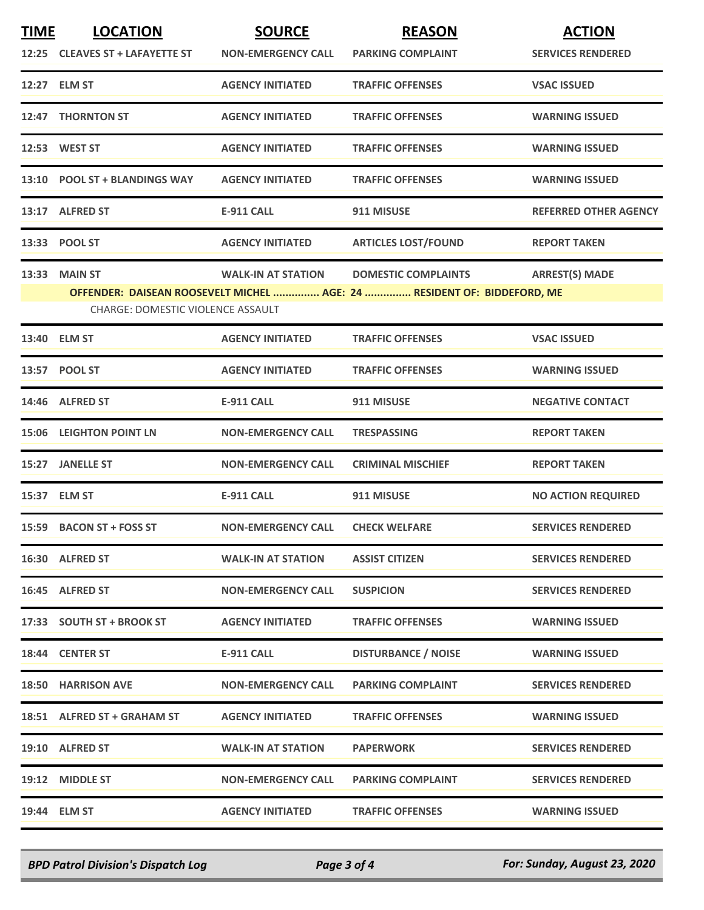| <b>TIME</b> | <b>LOCATION</b>                          | <b>SOURCE</b>             | <b>REASON</b>                                                           | <b>ACTION</b>                |
|-------------|------------------------------------------|---------------------------|-------------------------------------------------------------------------|------------------------------|
|             | 12:25 CLEAVES ST + LAFAYETTE ST          | <b>NON-EMERGENCY CALL</b> | <b>PARKING COMPLAINT</b>                                                | <b>SERVICES RENDERED</b>     |
|             | 12:27 ELM ST                             | <b>AGENCY INITIATED</b>   | <b>TRAFFIC OFFENSES</b>                                                 | <b>VSAC ISSUED</b>           |
|             | 12:47 THORNTON ST                        | <b>AGENCY INITIATED</b>   | <b>TRAFFIC OFFENSES</b>                                                 | <b>WARNING ISSUED</b>        |
|             | 12:53 WEST ST                            | <b>AGENCY INITIATED</b>   | <b>TRAFFIC OFFENSES</b>                                                 | <b>WARNING ISSUED</b>        |
|             | 13:10 POOL ST + BLANDINGS WAY            | <b>AGENCY INITIATED</b>   | <b>TRAFFIC OFFENSES</b>                                                 | <b>WARNING ISSUED</b>        |
|             | 13:17 ALFRED ST                          | <b>E-911 CALL</b>         | 911 MISUSE                                                              | <b>REFERRED OTHER AGENCY</b> |
|             | 13:33 POOL ST                            | <b>AGENCY INITIATED</b>   | <b>ARTICLES LOST/FOUND</b>                                              | <b>REPORT TAKEN</b>          |
|             | 13:33 MAIN ST                            | <b>WALK-IN AT STATION</b> | <b>DOMESTIC COMPLAINTS</b>                                              | <b>ARREST(S) MADE</b>        |
|             | <b>CHARGE: DOMESTIC VIOLENCE ASSAULT</b> |                           | OFFENDER: DAISEAN ROOSEVELT MICHEL  AGE: 24  RESIDENT OF: BIDDEFORD, ME |                              |
|             |                                          |                           |                                                                         |                              |
|             | 13:40 ELM ST                             | <b>AGENCY INITIATED</b>   | <b>TRAFFIC OFFENSES</b>                                                 | <b>VSAC ISSUED</b>           |
|             | 13:57 POOL ST                            | <b>AGENCY INITIATED</b>   | <b>TRAFFIC OFFENSES</b>                                                 | <b>WARNING ISSUED</b>        |
|             | 14:46 ALFRED ST                          | <b>E-911 CALL</b>         | 911 MISUSE                                                              | <b>NEGATIVE CONTACT</b>      |
|             | <b>15:06 LEIGHTON POINT LN</b>           | <b>NON-EMERGENCY CALL</b> | <b>TRESPASSING</b>                                                      | <b>REPORT TAKEN</b>          |
|             | 15:27 JANELLE ST                         | <b>NON-EMERGENCY CALL</b> | <b>CRIMINAL MISCHIEF</b>                                                | <b>REPORT TAKEN</b>          |
|             | 15:37 ELM ST                             | <b>E-911 CALL</b>         | 911 MISUSE                                                              | <b>NO ACTION REQUIRED</b>    |
|             | 15:59 BACON ST + FOSS ST                 | <b>NON-EMERGENCY CALL</b> | <b>CHECK WELFARE</b>                                                    | <b>SERVICES RENDERED</b>     |
|             | 16:30 ALFRED ST                          | <b>WALK-IN AT STATION</b> | <b>ASSIST CITIZEN</b>                                                   | <b>SERVICES RENDERED</b>     |
|             | 16:45 ALFRED ST                          | <b>NON-EMERGENCY CALL</b> | <b>SUSPICION</b>                                                        | <b>SERVICES RENDERED</b>     |
|             | 17:33 SOUTH ST + BROOK ST                | <b>AGENCY INITIATED</b>   | <b>TRAFFIC OFFENSES</b>                                                 | <b>WARNING ISSUED</b>        |
|             | 18:44 CENTER ST                          | <b>E-911 CALL</b>         | <b>DISTURBANCE / NOISE</b>                                              | <b>WARNING ISSUED</b>        |
|             | <b>18:50 HARRISON AVE</b>                | <b>NON-EMERGENCY CALL</b> | <b>PARKING COMPLAINT</b>                                                | <b>SERVICES RENDERED</b>     |
|             | 18:51 ALFRED ST + GRAHAM ST              | <b>AGENCY INITIATED</b>   | <b>TRAFFIC OFFENSES</b>                                                 | <b>WARNING ISSUED</b>        |
|             | 19:10 ALFRED ST                          | <b>WALK-IN AT STATION</b> | <b>PAPERWORK</b>                                                        | <b>SERVICES RENDERED</b>     |
|             | 19:12 MIDDLE ST                          | <b>NON-EMERGENCY CALL</b> | <b>PARKING COMPLAINT</b>                                                | <b>SERVICES RENDERED</b>     |
|             | 19:44 ELM ST                             | <b>AGENCY INITIATED</b>   | <b>TRAFFIC OFFENSES</b>                                                 | <b>WARNING ISSUED</b>        |

*BPD Patrol Division's Dispatch Log Page 3 of 4 For: Sunday, August 23, 2020*